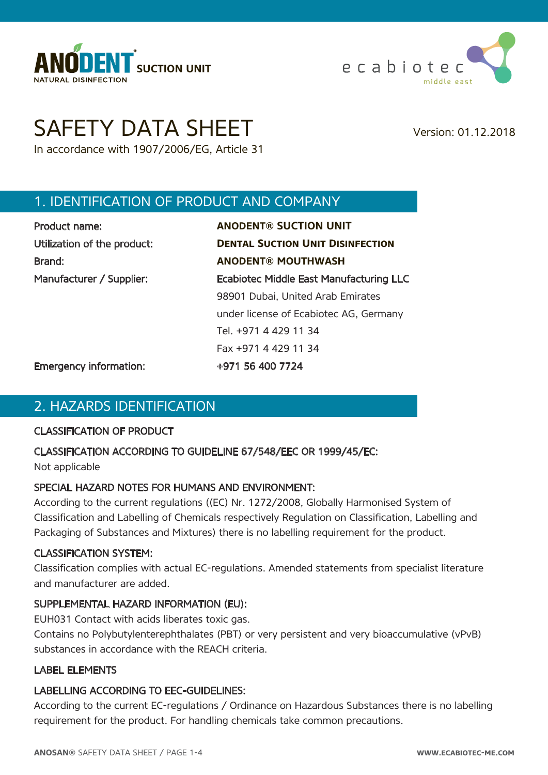



# SAFETY DATA SHEET Version: 01.12.2018

In accordance with 1907/2006/EG, Article 31

# 1. IDENTIFICATION OF PRODUCT AND COMPANY

| Product name:               |  |
|-----------------------------|--|
| Utilization of the product: |  |
| Brand:                      |  |
| Manufacturer / Supplier:    |  |
|                             |  |
|                             |  |

Product name: **ANODENT® SUCTION UNIT DENTAL SUCTION UNIT DISINFECTION** Brand: **ANODENT® MOUTHWASH** Ecabiotec Middle East Manufacturing LLC 98901 Dubai, United Arab Emirates under license of Ecabiotec AG, Germany Tel. +971 4 429 11 34 Fax +971 4 429 11 34

Emergency information: +971 56 400 7724

# 2. HAZARDS IDENTIFICATION

#### CLASSIFICATION OF PRODUCT

#### CLASSIFICATION ACCORDING TO GUIDELINE 67/548/EEC OR 1999/45/EC:

Not applicable

#### SPECIAL HAZARD NOTES FOR HUMANS AND ENVIRONMENT:

According to the current regulations ((EC) Nr. 1272/2008, Globally Harmonised System of Classification and Labelling of Chemicals respectively Regulation on Classification, Labelling and Packaging of Substances and Mixtures) there is no labelling requirement for the product.

#### CLASSIFICATION SYSTEM:

Classification complies with actual EC-regulations. Amended statements from specialist literature and manufacturer are added.

#### SUPPLEMENTAL HAZARD INFORMATION (EU):

EUH031 Contact with acids liberates toxic gas.

Contains no Polybutylenterephthalates (PBT) or very persistent and very bioaccumulative (vPvB) substances in accordance with the REACH criteria.

#### LABEL ELEMENTS

#### LABELLING ACCORDING TO EEC-GUIDELINES:

According to the current EC-regulations / Ordinance on Hazardous Substances there is no labelling requirement for the product. For handling chemicals take common precautions.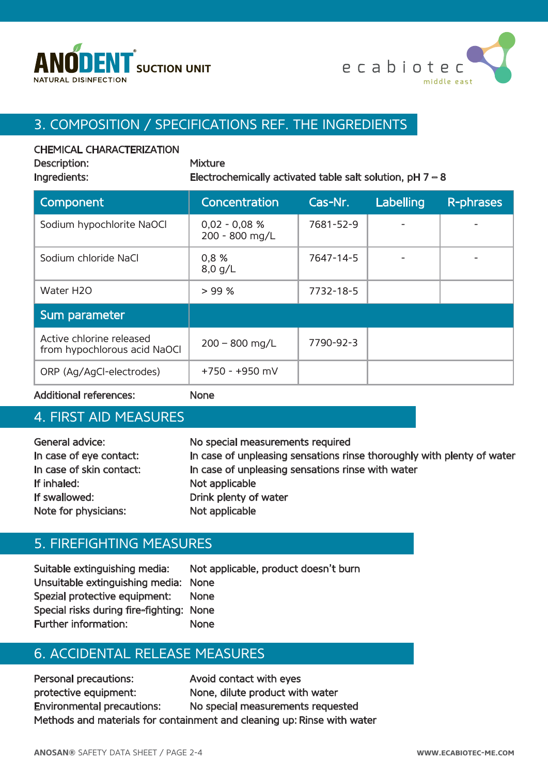



# 3. COMPOSITION / SPECIFICATIONS REF. THE INGREDIENTS

#### CHEMICAL CHARACTERIZATION

Description: Mixture

Ingredients: Electrochemically activated table salt solution,  $pH 7 - 8$ 

| Component                                                | Concentration                     | Cas-Nr.   | Labelling | <b>R-phrases</b> |
|----------------------------------------------------------|-----------------------------------|-----------|-----------|------------------|
| Sodium hypochlorite NaOCl                                | $0,02 - 0,08 %$<br>200 - 800 mg/L | 7681-52-9 |           |                  |
| Sodium chloride NaCl                                     | 0,8%<br>$8,0$ g/L                 | 7647-14-5 |           |                  |
| Water H <sub>20</sub>                                    | > 99%                             | 7732-18-5 |           |                  |
| Sum parameter                                            |                                   |           |           |                  |
| Active chlorine released<br>from hypochlorous acid NaOCl | $200 - 800$ mg/L                  | 7790-92-3 |           |                  |
| ORP (Ag/AgCl-electrodes)                                 | $+750 - +950$ mV                  |           |           |                  |

Additional references: None

#### 4. FIRST AID MEASURES

General advice: No special measurements required In case of eye contact: In case of unpleasing sensations rinse thoroughly with plenty of water In case of skin contact: In case of unpleasing sensations rinse with water If inhaled: Not applicable If swallowed: Drink plenty of water Note for physicians: Not applicable

#### 5. FIREFIGHTING MEASURES

Suitable extinguishing media: Not applicable, product doesn't burn Unsuitable extinguishing media: None Spezial protective equipment: None Special risks during fire-fighting: None Further information: None

# 6. ACCIDENTAL RELEASE MEASURES

Personal precautions: Avoid contact with eyes protective equipment: None, dilute product with water Environmental precautions: No special measurements requested Methods and materials for containment and cleaning up: Rinse with water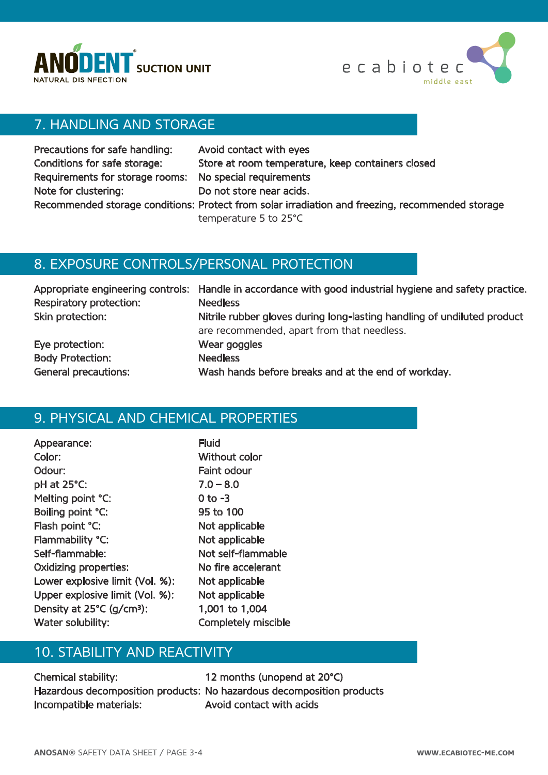



# 7. HANDLING AND STORAGE

| Precautions for safe handling:                          | Avoid contact with eyes                                                                          |
|---------------------------------------------------------|--------------------------------------------------------------------------------------------------|
| Conditions for safe storage:                            | Store at room temperature, keep containers closed                                                |
| Requirements for storage rooms: No special requirements |                                                                                                  |
| Note for clustering:                                    | Do not store near acids.                                                                         |
|                                                         | Recommended storage conditions: Protect from solar irradiation and freezing, recommended storage |
|                                                         | temperature 5 to 25°C                                                                            |

### 8. EXPOSURE CONTROLS/PERSONAL PROTECTION

| Respiratory protection:     | Appropriate engineering controls: Handle in accordance with good industrial hygiene and safety practice.<br><b>Needless</b> |
|-----------------------------|-----------------------------------------------------------------------------------------------------------------------------|
| Skin protection:            | Nitrile rubber gloves during long-lasting handling of undiluted product<br>are recommended, apart from that needless.       |
| Eye protection:             | Wear goggles                                                                                                                |
| <b>Body Protection:</b>     | <b>Needless</b>                                                                                                             |
| <b>General precautions:</b> | Wash hands before breaks and at the end of workday.                                                                         |

# 9. PHYSICAL AND CHEMICAL PROPERTIES

| Appearance:                           | <b>Fluid</b>   |
|---------------------------------------|----------------|
| Color:                                | <b>Without</b> |
| Odour:                                | Faint odd      |
| pH at 25°C:                           | $7.0 - 8.0$    |
| Melting point °C:                     | $0$ to $-3$    |
| Boiling point °C:                     | 95 to 10       |
| Flash point °C:                       | Not appl       |
| Flammability °C:                      | Not appl       |
| Self-flammable:                       | Not self-      |
| <b>Oxidizing properties:</b>          | No fire a      |
| Lower explosive limit (Vol. %):       | Not appl       |
| Upper explosive limit (Vol. %):       | Not appl       |
| Density at 25°C (g/cm <sup>3</sup> ): | 1,001 to       |
| Water solubility:                     | Complete       |

hout color nt odour  $\overline{5}$  0 100 applicable applicable self-flammable fire accelerant applicable applicable 01 to 1,004 npletely miscible

# 10. STABILITY AND REACTIVITY

Chemical stability: 12 months (unopend at 20°C) Incompatible materials: Avoid contact with acids

Hazardous decomposition products: No hazardous decomposition products